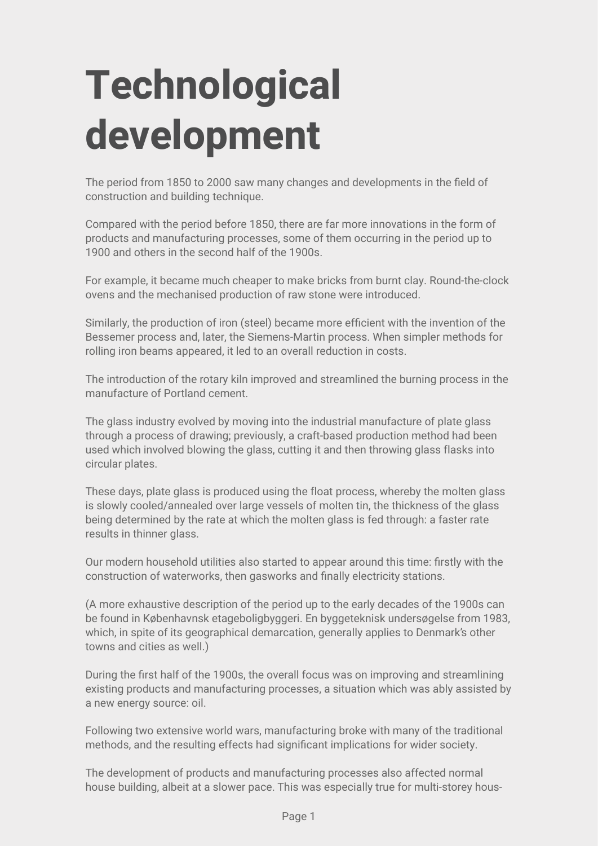## **Technological development**

The period from 1850 to 2000 saw many changes and developments in the field of construction and building technique.

Compared with the period before 1850, there are far more innovations in the form of products and manufacturing processes, some of them occurring in the period up to 1900 and others in the second half of the 1900s.

For example, it became much cheaper to make bricks from burnt clay. Round-the-clock ovens and the mechanised production of raw stone were introduced.

Similarly, the production of iron (steel) became more efficient with the invention of the Bessemer process and, later, the Siemens-Martin process. When simpler methods for rolling iron beams appeared, it led to an overall reduction in costs.

The introduction of the rotary kiln improved and streamlined the burning process in the manufacture of Portland cement.

The glass industry evolved by moving into the industrial manufacture of plate glass through a process of drawing; previously, a craft-based production method had been used which involved blowing the glass, cutting it and then throwing glass flasks into circular plates.

These days, plate glass is produced using the float process, whereby the molten glass is slowly cooled/annealed over large vessels of molten tin, the thickness of the glass being determined by the rate at which the molten glass is fed through: a faster rate results in thinner glass.

Our modern household utilities also started to appear around this time: firstly with the construction of waterworks, then gasworks and finally electricity stations.

(A more exhaustive description of the period up to the early decades of the 1900s can be found in Københavnsk etageboligbyggeri. En byggeteknisk undersøgelse from 1983, which, in spite of its geographical demarcation, generally applies to Denmark's other towns and cities as well.)

During the first half of the 1900s, the overall focus was on improving and streamlining existing products and manufacturing processes, a situation which was ably assisted by a new energy source: oil.

Following two extensive world wars, manufacturing broke with many of the traditional methods, and the resulting effects had significant implications for wider society.

The development of products and manufacturing processes also affected normal house building, albeit at a slower pace. This was especially true for multi-storey hous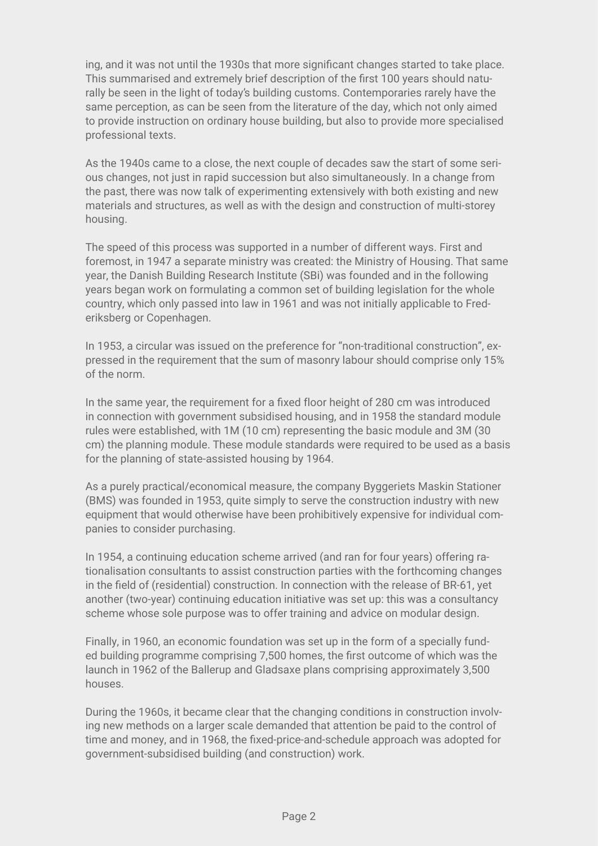ing, and it was not until the 1930s that more significant changes started to take place. This summarised and extremely brief description of the first 100 years should naturally be seen in the light of today's building customs. Contemporaries rarely have the same perception, as can be seen from the literature of the day, which not only aimed to provide instruction on ordinary house building, but also to provide more specialised professional texts.

As the 1940s came to a close, the next couple of decades saw the start of some serious changes, not just in rapid succession but also simultaneously. In a change from the past, there was now talk of experimenting extensively with both existing and new materials and structures, as well as with the design and construction of multi-storey housing.

The speed of this process was supported in a number of different ways. First and foremost, in 1947 a separate ministry was created: the Ministry of Housing. That same year, the Danish Building Research Institute (SBi) was founded and in the following years began work on formulating a common set of building legislation for the whole country, which only passed into law in 1961 and was not initially applicable to Frederiksberg or Copenhagen.

In 1953, a circular was issued on the preference for "non-traditional construction", expressed in the requirement that the sum of masonry labour should comprise only 15% of the norm.

In the same year, the requirement for a fixed floor height of 280 cm was introduced in connection with government subsidised housing, and in 1958 the standard module rules were established, with 1M (10 cm) representing the basic module and 3M (30 cm) the planning module. These module standards were required to be used as a basis for the planning of state-assisted housing by 1964.

As a purely practical/economical measure, the company Byggeriets Maskin Stationer (BMS) was founded in 1953, quite simply to serve the construction industry with new equipment that would otherwise have been prohibitively expensive for individual companies to consider purchasing.

In 1954, a continuing education scheme arrived (and ran for four years) offering rationalisation consultants to assist construction parties with the forthcoming changes in the field of (residential) construction. In connection with the release of BR-61, yet another (two-year) continuing education initiative was set up: this was a consultancy scheme whose sole purpose was to offer training and advice on modular design.

Finally, in 1960, an economic foundation was set up in the form of a specially funded building programme comprising 7,500 homes, the first outcome of which was the launch in 1962 of the Ballerup and Gladsaxe plans comprising approximately 3,500 houses.

During the 1960s, it became clear that the changing conditions in construction involving new methods on a larger scale demanded that attention be paid to the control of time and money, and in 1968, the fixed-price-and-schedule approach was adopted for government-subsidised building (and construction) work.